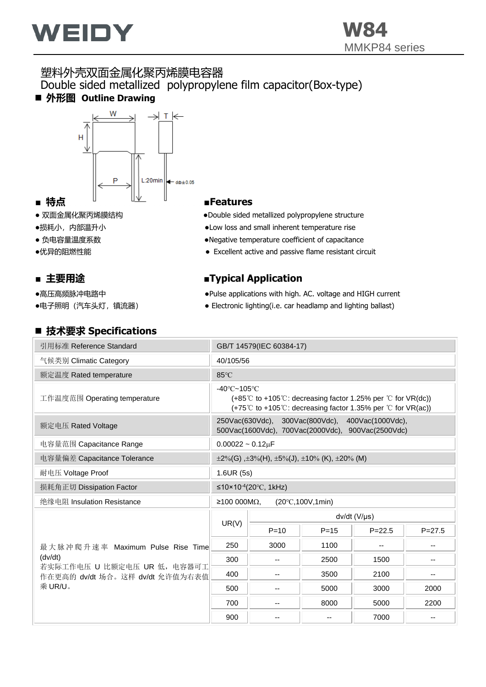

### 塑料外壳双面金属化聚丙烯膜电容器 Double sided metallized polypropylene film capacitor(Box-type) ■ 外形图 Outline Drawing



- 
- 
- 
- 

- 
- 

#### ◼ **技术要求 Specifications**

- 双面金属化聚丙烯膜结构 → → → → → → Double sided metallized polypropylene structure
- ●损耗小,内部温升小 ●Low loss and small inherent temperature rise
- 负电容量温度系数 ●Negative temperature coefficient of capacitance
- ●优异的阻燃性能 <br>● Excellent active and passive flame resistant circuit

#### ■ 主要用途 **■** ■**Typical Application**

- ●高压高频脉冲电路中 ●Pulse applications with high. AC. voltage and HIGH current
- ●电子照明 (汽车头灯, 镇流器) → Electronic lighting(i.e. car headlamp and lighting ballast)

| IXハ女小 つりこいいいいい                                                 |                          |                                                                                                                                                               |                                                                                                       |              |            |  |  |  |
|----------------------------------------------------------------|--------------------------|---------------------------------------------------------------------------------------------------------------------------------------------------------------|-------------------------------------------------------------------------------------------------------|--------------|------------|--|--|--|
| 引用标准 Reference Standard                                        | GB/T 14579(IEC 60384-17) |                                                                                                                                                               |                                                                                                       |              |            |  |  |  |
| 气候类别 Climatic Category                                         | 40/105/56                |                                                                                                                                                               |                                                                                                       |              |            |  |  |  |
| 额定温度 Rated temperature                                         | 85°C                     |                                                                                                                                                               |                                                                                                       |              |            |  |  |  |
| 工作温度范围 Operating temperature                                   |                          | $-40^{\circ}$ C $-105^{\circ}$ C<br>(+85℃ to +105℃: decreasing factor 1.25% per ℃ for VR(dc))<br>(+75°C to +105°C: decreasing factor 1.35% per °C for VR(ac)) |                                                                                                       |              |            |  |  |  |
| 额定电压 Rated Voltage                                             |                          |                                                                                                                                                               | 250Vac(630Vdc), 300Vac(800Vdc), 400Vac(1000Vdc),<br>500Vac(1600Vdc), 700Vac(2000Vdc), 900Vac(2500Vdc) |              |            |  |  |  |
| 电容量范围 Capacitance Range                                        |                          | $0.00022 - 0.12 \mu F$                                                                                                                                        |                                                                                                       |              |            |  |  |  |
| 电容量偏差 Capacitance Tolerance                                    |                          | $\pm 2\%$ (G), $\pm 3\%$ (H), $\pm 5\%$ (J), $\pm 10\%$ (K), $\pm 20\%$ (M)                                                                                   |                                                                                                       |              |            |  |  |  |
| 耐电压 Voltage Proof                                              |                          | 1.6UR (5s)                                                                                                                                                    |                                                                                                       |              |            |  |  |  |
| 损耗角正切 Dissipation Factor                                       |                          | ≤10×10 <sup>-4</sup> (20 °C, 1kHz)                                                                                                                            |                                                                                                       |              |            |  |  |  |
| 绝缘电阻 Insulation Resistance                                     | ≥100000MΩ,               |                                                                                                                                                               | (20°C, 100V, 1min)                                                                                    |              |            |  |  |  |
|                                                                |                          |                                                                                                                                                               |                                                                                                       | dv/dt (V/µs) |            |  |  |  |
|                                                                | UR(V)                    | $P = 10$                                                                                                                                                      | $P = 15$                                                                                              | $P = 22.5$   | $P = 27.5$ |  |  |  |
| 最大脉冲爬升速率 Maximum Pulse Rise Time                               | 250                      | 3000                                                                                                                                                          | 1100                                                                                                  |              | --         |  |  |  |
| (dv/dt)                                                        | 300                      | $-$                                                                                                                                                           | 2500                                                                                                  | 1500         | --         |  |  |  |
| 若实际工作电压 U 比额定电压 UR 低, 电容器可工<br>作在更高的 dv/dt 场合。这样 dv/dt 允许值为右表值 | 400                      |                                                                                                                                                               | 3500                                                                                                  | 2100         | --         |  |  |  |
| 乘 UR/U。                                                        | 500                      |                                                                                                                                                               | 5000                                                                                                  | 3000         | 2000       |  |  |  |
|                                                                | 700                      | $-$                                                                                                                                                           | 8000                                                                                                  | 5000         | 2200       |  |  |  |
|                                                                | 900                      |                                                                                                                                                               |                                                                                                       | 7000         | --         |  |  |  |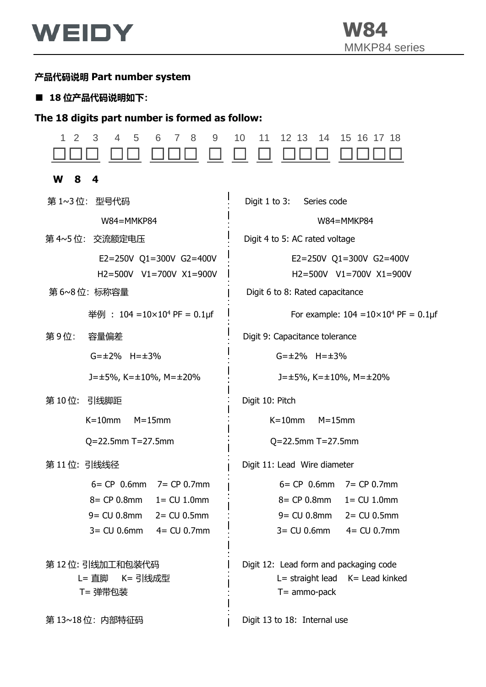

## **产品代码说明 Part number system**

### ■ 18 位产品代码说明如下:

## **The 18 digits part number is formed as follow:**

| 3<br>4<br>5<br>8<br>9<br>2<br>6<br>7                                                                                                | 10<br>11<br>12 13<br>14<br>15 16 17 18                                                                                                 |
|-------------------------------------------------------------------------------------------------------------------------------------|----------------------------------------------------------------------------------------------------------------------------------------|
| W<br>8<br>4                                                                                                                         |                                                                                                                                        |
| 第1~3位: 型号代码                                                                                                                         | Digit $1$ to $3:$<br>Series code                                                                                                       |
| W84=MMKP84                                                                                                                          | W84=MMKP84                                                                                                                             |
| 第 4~5位: 交流额定电压                                                                                                                      | Digit 4 to 5: AC rated voltage                                                                                                         |
| E2=250V Q1=300V G2=400V<br>H2=500V V1=700V X1=900V                                                                                  | E2=250V Q1=300V G2=400V<br>H2=500V V1=700V X1=900V                                                                                     |
| 第6~8位:标称容量                                                                                                                          | Digit 6 to 8: Rated capacitance                                                                                                        |
| 举例 : 104 = $10 \times 10^4$ PF = 0.1µf                                                                                              | For example: $104 = 10 \times 10^4$ PF = 0.1µf                                                                                         |
| 第9位:<br>容量偏差                                                                                                                        | Digit 9: Capacitance tolerance                                                                                                         |
| $G = \pm 2\%$ H= $\pm 3\%$                                                                                                          | $G = \pm 2\%$ H= $\pm 3\%$                                                                                                             |
| $J = \pm 5\%$ , K= $\pm 10\%$ , M= $\pm 20\%$                                                                                       | $J = \pm 5\%$ , K= $\pm 10\%$ , M= $\pm 20\%$                                                                                          |
| 第10位: 引线脚距                                                                                                                          | Digit 10: Pitch                                                                                                                        |
| $K=10$ mm<br>$M = 15$ mm                                                                                                            | $K = 10$ mm<br>$M = 15$ mm                                                                                                             |
| $Q = 22.5$ mm T=27.5mm                                                                                                              | $Q = 22.5$ mm T=27.5mm                                                                                                                 |
| 第11位:引线线径                                                                                                                           | Digit 11: Lead Wire diameter                                                                                                           |
| $6 = CP$ 0.6mm $7 = CP$ 0.7mm<br>8= CP 0.8mm<br>$1 = CU 1.0mm$<br>$9 = CU 0.8mm$<br>$2 = CU 0.5mm$<br>$3 = CU 0.6mm$<br>4= CU 0.7mm | $6 = CP$ 0.6mm $7 = CP$ 0.7mm<br>8= CP 0.8mm<br>$1 = CU 1.0mm$<br>$9 = CU 0.8mm$<br>$2 = CU 0.5mm$<br>$3 = CU 0.6mm$<br>$4 = CU 0.7mm$ |
| 第 12 位: 引线加工和包装代码<br>L= 直脚 K= 引线成型<br>T= 弹带包装                                                                                       | Digit 12: Lead form and packaging code<br>$L =$ straight lead $K =$ Lead kinked<br>$T =$ ammo-pack                                     |
| 第13~18位: 内部特征码                                                                                                                      | Digit 13 to 18: Internal use                                                                                                           |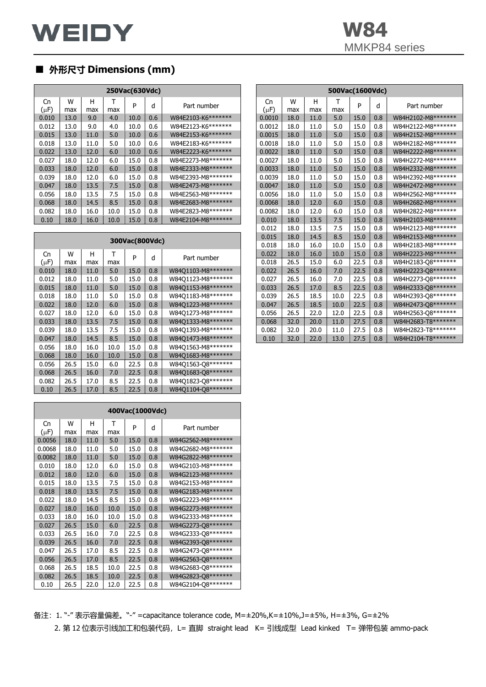# ■ **外形尺寸 Dimensions (mm)**

|                 |          |          |          | 250Vac(630Vdc) |     |                    |                   |
|-----------------|----------|----------|----------|----------------|-----|--------------------|-------------------|
| Cn<br>$(\mu F)$ | W<br>max | н<br>max | т<br>max | P              | d   | Part number        | Cn<br>(µF         |
| 0.010           | 13.0     | 9.0      | 4.0      | 10.0           | 0.6 | W84E2103-K6******* | 0.00              |
| 0.012           | 13.0     | 9.0      | 4.0      | 10.0           | 0.6 | W84E2123-K6******* | 0.00              |
| 0.015           | 13.0     | 11.0     | 5.0      | 10.0           | 0.6 | W84E2153-K6******* | 0.00              |
| 0.018           | 13.0     | 11.0     | 5.0      | 10.0           | 0.6 | W84E2183-K6******* | 0.00              |
| 0.022           | 13.0     | 12.0     | 6.0      | 10.0           | 0.6 | W84E2223-K6******* | 0.00              |
| 0.027           | 18.0     | 12.0     | 6.0      | 15.0           | 0.8 | W84E2273-M8******* | 0.00              |
| 0.033           | 18.0     | 12.0     | 6.0      | 15.0           | 0.8 | W84E2333-M8******* | 0.00              |
| 0.039           | 18.0     | 12.0     | 6.0      | 15.0           | 0.8 | W84E2393-M8******* | 0.00              |
| 0.047           | 18.0     | 13.5     | 7.5      | 15.0           | 0.8 | W84E2473-M8******* | 0.00 <sub>1</sub> |
| 0.056           | 18.0     | 13.5     | 7.5      | 15.0           | 0.8 | W84E2563-M8******* | 0.00              |
| 0.068           | 18.0     | 14.5     | 8.5      | 15.0           | 0.8 | W84E2683-M8******* | 0.00              |
| 0.082           | 18.0     | 16.0     | 10.0     | 15.0           | 0.8 | W84E2823-M8******* | 0.00              |
| 0.10            | 18.0     | 16.0     | 10.0     | 15.0           | 0.8 | W84E2104-M8******* | 0.01              |

|                 |          |          |          | 300Vac(800Vdc) |     |                     |
|-----------------|----------|----------|----------|----------------|-----|---------------------|
| Cn<br>$(\mu F)$ | W<br>max | н<br>max | т<br>max | P              | d   | Part number         |
| 0.010           | 18.0     | 11.0     | 5.0      | 15.0           | 0.8 | W84Q1103-M8*******  |
| 0.012           | 18.0     | 11.0     | 5.0      | 15.0           | 0.8 | W84Q1123-M8*******  |
| 0.015           | 18.0     | 11.0     | 5.0      | 15.0           | 0.8 | W84Q1153-M8*******  |
| 0.018           | 18.0     | 11.0     | 5.0      | 15.0           | 0.8 | W84Q1183-M8*******  |
| 0.022           | 18.0     | 12.0     | 6.0      | 15.0           | 0.8 | W84Q1223-M8******** |
| 0.027           | 18.0     | 12.0     | 6.0      | 15.0           | 0.8 | W84Q1273-M8*******  |
| 0.033           | 18.0     | 13.5     | 7.5      | 15.0           | 0.8 | W84Q1333-M8*******  |
| 0.039           | 18.0     | 13.5     | 7.5      | 15.0           | 0.8 | W84Q1393-M8*******  |
| 0.047           | 18.0     | 14.5     | 8.5      | 15.0           | 0.8 | W84Q1473-M8*******  |
| 0.056           | 18.0     | 16.0     | 10.0     | 15.0           | 0.8 | W84Q1563-M8*******  |
| 0.068           | 18.0     | 16.0     | 10.0     | 15.0           | 0.8 | W84Q1683-M8*******  |
| 0.056           | 26.5     | 15.0     | 6.0      | 22.5           | 0.8 | W84Q1563-O8*******  |
| 0.068           | 26.5     | 16.0     | 7.0      | 22.5           | 0.8 | W84Q1683-Q8*******  |
| 0.082           | 26.5     | 17.0     | 8.5      | 22.5           | 0.8 | W84Q1823-Q8*******  |
| 0.10            | 26.5     | 17.0     | 8.5      | 22.5           | 0.8 | W84Q1104-Q8*******  |

|                 |          |          |          | 400Vac(1000Vdc) |     |                     |
|-----------------|----------|----------|----------|-----------------|-----|---------------------|
| Cn<br>$(\mu F)$ | W<br>max | н<br>max | т<br>max | P               | d   | Part number         |
| 0.0056          | 18.0     | 11.0     | 5.0      | 15.0            | 0.8 | W84G2562-M8*******  |
| 0.0068          | 18.0     | 11.0     | 5.0      | 15.0            | 0.8 | W84G2682-M8*******  |
| 0.0082          | 18.0     | 11.0     | 5.0      | 15.0            | 0.8 | W84G2822-M8*******  |
| 0.010           | 18.0     | 12.0     | 6.0      | 15.0            | 0.8 | W84G2103-M8*******  |
| 0.012           | 18.0     | 12.0     | 6.0      | 15.0            | 0.8 | W84G2123-M8*******  |
| 0.015           | 18.0     | 13.5     | 7.5      | 15.0            | 0.8 | W84G2153-M8*******  |
| 0.018           | 18.0     | 13.5     | 7.5      | 15.0            | 0.8 | W84G2183-M8*******  |
| 0.022           | 18.0     | 14.5     | 8.5      | 15.0            | 0.8 | W84G2223-M8*******  |
| 0.027           | 18.0     | 16.0     | 10.0     | 15.0            | 0.8 | W84G2273-M8*******  |
| 0.033           | 18.0     | 16.0     | 10.0     | 15.0            | 0.8 | W84G2333-M8*******  |
| 0.027           | 26.5     | 15.0     | 6.0      | 22.5            | 0.8 | W84G2273-Q8*******  |
| 0.033           | 26.5     | 16.0     | 7.0      | 22.5            | 0.8 | W84G2333-Q8*******  |
| 0.039           | 26.5     | 16.0     | 7.0      | 22.5            | 0.8 | W84G2393-Q8*******  |
| 0.047           | 26.5     | 17.0     | 8.5      | 22.5            | 0.8 | W84G2473-Q8*******  |
| 0.056           | 26.5     | 17.0     | 8.5      | 22.5            | 0.8 | W84G2563-Q8******** |
| 0.068           | 26.5     | 18.5     | 10.0     | 22.5            | 0.8 | W84G2683-Q8*******  |
| 0.082           | 26.5     | 18.5     | 10.0     | 22.5            | 0.8 | W84G2823-Q8*******  |
| 0.10            | 26.5     | 22.0     | 12.0     | 22.5            | 0.8 | W84G2104-Q8*******  |

|           |      |      |      | 250Vac(630Vdc) |     |                     |           |      |      | 500Vac(1600Vdc) |      |     |                    |
|-----------|------|------|------|----------------|-----|---------------------|-----------|------|------|-----------------|------|-----|--------------------|
| Cn        | W    | н    |      |                |     |                     | Cn        | W    | н    |                 |      |     |                    |
| $(\mu F)$ | max  | max  | max  | P              | d   | Part number         | $(\mu F)$ | max  | max  | max             | P    | d   | Part number        |
| 0.010     | 13.0 | 9.0  | 4.0  | 10.0           | 0.6 | W84E2103-K6*******  | 0.0010    | 18.0 | 11.0 | 5.0             | 15.0 | 0.8 | W84H2102-M8******* |
| 0.012     | 13.0 | 9.0  | 4.0  | 10.0           | 0.6 | W84E2123-K6*******  | 0.0012    | 18.0 | 11.0 | 5.0             | 15.0 | 0.8 | W84H2122-M8******* |
| 0.015     | 13.0 | 11.0 | 5.0  | 10.0           | 0.6 | W84E2153-K6******** | 0.0015    | 18.0 | 11.0 | 5.0             | 15.0 | 0.8 | W84H2152-M8******* |
| 0.018     | 13.0 | 11.0 | 5.0  | 10.0           | 0.6 | W84E2183-K6*******  | 0.0018    | 18.0 | 11.0 | 5.0             | 15.0 | 0.8 | W84H2182-M8******* |
| 0.022     | 13.0 | 12.0 | 6.0  | 10.0           | 0.6 | W84E2223-K6*******  | 0.0022    | 18.0 | 11.0 | 5.0             | 15.0 | 0.8 | W84H2222-M8******* |
| 0.027     | 18.0 | 12.0 | 6.0  | 15.0           | 0.8 | W84E2273-M8*******  | 0.0027    | 18.0 | 11.0 | 5.0             | 15.0 | 0.8 | W84H2272-M8******* |
| 0.033     | 18.0 | 12.0 | 6.0  | 15.0           | 0.8 | W84E2333-M8*******  | 0.0033    | 18.0 | 11.0 | 5.0             | 15.0 | 0.8 | W84H2332-M8******* |
| 0.039     | 18.0 | 12.0 | 6.0  | 15.0           | 0.8 | W84E2393-M8*******  | 0.0039    | 18.0 | 11.0 | 5.0             | 15.0 | 0.8 | W84H2392-M8******* |
| 0.047     | 18.0 | 13.5 | 7.5  | 15.0           | 0.8 | W84E2473-M8*******  | 0.0047    | 18.0 | 11.0 | 5.0             | 15.0 | 0.8 | W84H2472-M8******* |
| 0.056     | 18.0 | 13.5 | 7.5  | 15.0           | 0.8 | W84E2563-M8*******  | 0.0056    | 18.0 | 11.0 | 5.0             | 15.0 | 0.8 | W84H2562-M8******* |
| 0.068     | 18.0 | 14.5 | 8.5  | 15.0           | 0.8 | W84E2683-M8*******  | 0.0068    | 18.0 | 12.0 | 6.0             | 15.0 | 0.8 | W84H2682-M8******* |
| 0.082     | 18.0 | 16.0 | 10.0 | 15.0           | 0.8 | W84E2823-M8*******  | 0.0082    | 18.0 | 12.0 | 6.0             | 15.0 | 0.8 | W84H2822-M8******* |
| 0.10      | 18.0 | 16.0 | 10.0 | 15.0           | 0.8 | W84E2104-M8*******  | 0.010     | 18.0 | 13.5 | 7.5             | 15.0 | 0.8 | W84H2103-M8******* |
|           |      |      |      |                |     |                     | 0.012     | 18.0 | 13.5 | 7.5             | 15.0 | 0.8 | W84H2123-M8******* |
|           |      |      |      |                |     |                     | 0.015     | 18.0 | 14.5 | 8.5             | 15.0 | 0.8 | W84H2153-M8******* |
|           |      |      |      | 300Vac(800Vdc) |     |                     | 0.018     | 18.0 | 16.0 | 10.0            | 15.0 | 0.8 | W84H2183-M8******* |
| Cn        | W    | н    | т    |                |     |                     | 0.022     | 18.0 | 16.0 | 10.0            | 15.0 | 0.8 | W84H2223-M8******* |
| $(\mu F)$ | max  | max  | max  | P              | d   | Part number         | 0.018     | 26.5 | 15.0 | 6.0             | 22.5 | 0.8 | W84H2183-Q8******* |
| 0.010     | 18.0 | 11.0 | 5.0  | 15.0           | 0.8 | W84Q1103-M8*******  | 0.022     | 26.5 | 16.0 | 7.0             | 22.5 | 0.8 | W84H2223-Q8******* |
| 0.012     | 18.0 | 11.0 | 5.0  | 15.0           | 0.8 | W84Q1123-M8*******  | 0.027     | 26.5 | 16.0 | 7.0             | 22.5 | 0.8 | W84H2273-Q8******* |
| 0.015     | 18.0 | 11.0 | 5.0  | 15.0           | 0.8 | W84Q1153-M8*******  | 0.033     | 26.5 | 17.0 | 8.5             | 22.5 | 0.8 | W84H2333-Q8******* |
| 0.018     | 18.0 | 11.0 | 5.0  | 15.0           | 0.8 | W84Q1183-M8*******  | 0.039     | 26.5 | 18.5 | 10.0            | 22.5 | 0.8 | W84H2393-Q8******* |
| 0.022     | 18.0 | 12.0 | 6.0  | 15.0           | 0.8 | W84Q1223-M8*******  | 0.047     | 26.5 | 18.5 | 10.0            | 22.5 | 0.8 | W84H2473-Q8******* |
| 0.027     | 18.0 | 12.0 | 6.0  | 15.0           | 0.8 | W84Q1273-M8*******  | 0.056     | 26.5 | 22.0 | 12.0            | 22.5 | 0.8 | W84H2563-Q8******* |
| 0.033     | 18.0 | 13.5 | 7.5  | 15.0           | 0.8 | W84Q1333-M8*******  | 0.068     | 32.0 | 20.0 | 11.0            | 27.5 | 0.8 | W84H2683-T8******* |
| 0.039     | 18.0 | 13.5 | 7.5  | 15.0           | 0.8 | W84Q1393-M8*******  | 0.082     | 32.0 | 20.0 | 11.0            | 27.5 | 0.8 | W84H2823-T8******* |
| 0.047     | 18.0 | 14.5 | 8.5  | 15.0           | 0.8 | W84Q1473-M8*******  | 0.10      | 32.0 | 22.0 | 13.0            | 27.5 | 0.8 | W84H2104-T8******* |

备注:1. "-" 表示容量偏差。"-" =capacitance tolerance code, M=±20%,K=±10%,J=±5%, H=±3%, G=±2% 2. 第 12 位表示引线加工和包装代码, L= 直脚 straight lead K= 引线成型 Lead kinked T= 弹带包装 ammo-pack